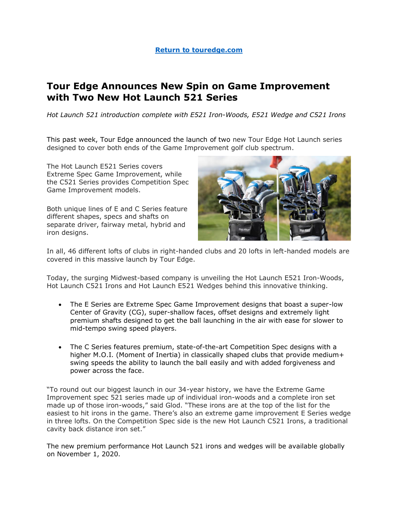#### **[Return to touredge.com](https://www.touredge.com/)**

# **Tour Edge Announces New Spin on Game Improvement with Two New Hot Launch 521 Series**

*Hot Launch 521 introduction complete with E521 Iron-Woods, E521 Wedge and C521 Irons* 

This past week, Tour Edge announced the launch of two new Tour Edge Hot Launch series designed to cover both ends of the Game Improvement golf club spectrum.

The Hot Launch E521 Series covers Extreme Spec Game Improvement, while the C521 Series provides Competition Spec Game Improvement models.

Both unique lines of E and C Series feature different shapes, specs and shafts on separate driver, fairway metal, hybrid and iron designs.



In all, 46 different lofts of clubs in right-handed clubs and 20 lofts in left-handed models are covered in this massive launch by Tour Edge.

Today, the surging Midwest-based company is unveiling the Hot Launch E521 Iron-Woods, Hot Launch C521 Irons and Hot Launch E521 Wedges behind this innovative thinking.

- The E Series are Extreme Spec Game Improvement designs that boast a super-low Center of Gravity (CG), super-shallow faces, offset designs and extremely light premium shafts designed to get the ball launching in the air with ease for slower to mid-tempo swing speed players.
- The C Series features premium, state-of-the-art Competition Spec designs with a higher M.O.I. (Moment of Inertia) in classically shaped clubs that provide medium+ swing speeds the ability to launch the ball easily and with added forgiveness and power across the face.

"To round out our biggest launch in our 34-year history, we have the Extreme Game Improvement spec 521 series made up of individual iron-woods and a complete iron set made up of those iron-woods," said Glod. "These irons are at the top of the list for the easiest to hit irons in the game. There's also an extreme game improvement E Series wedge in three lofts. On the Competition Spec side is the new Hot Launch C521 Irons, a traditional cavity back distance iron set."

The new premium performance Hot Launch 521 irons and wedges will be available globally on November 1, 2020.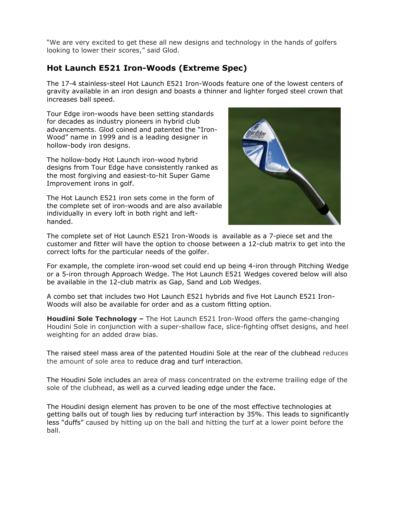"We are very excited to get these all new designs and technology in the hands of golfers looking to lower their scores," said Glod.

## **Hot Launch E521 Iron-Woods (Extreme Spec)**

The 17-4 stainless-steel Hot Launch E521 Iron-Woods feature one of the lowest centers of gravity available in an iron design and boasts a thinner and lighter forged steel crown that increases ball speed.

Tour Edge iron-woods have been setting standards for decades as industry pioneers in hybrid club advancements. Glod coined and patented the "Iron-Wood" name in 1999 and is a leading designer in hollow-body iron designs.

The hollow-body Hot Launch iron-wood hybrid designs from Tour Edge have consistently ranked as the most forgiving and easiest-to-hit Super Game Improvement irons in golf.

The Hot Launch E521 iron sets come in the form of the complete set of iron-woods and are also available individually in every loft in both right and lefthanded.



The complete set of Hot Launch E521 Iron-Woods is available as a 7-piece set and the customer and fitter will have the option to choose between a 12-club matrix to get into the correct lofts for the particular needs of the golfer.

For example, the complete iron-wood set could end up being 4-iron through Pitching Wedge or a 5-iron through Approach Wedge. The Hot Launch E521 Wedges covered below will also be available in the 12-club matrix as Gap, Sand and Lob Wedges.

A combo set that includes two Hot Launch E521 hybrids and five Hot Launch E521 Iron-Woods will also be available for order and as a custom fitting option.

**Houdini Sole Technology –** The Hot Launch E521 Iron-Wood offers the game-changing Houdini Sole in conjunction with a super-shallow face, slice-fighting offset designs, and heel weighting for an added draw bias.

The raised steel mass area of the patented Houdini Sole at the rear of the clubhead reduces the amount of sole area to reduce drag and turf interaction.

The Houdini Sole includes an area of mass concentrated on the extreme trailing edge of the sole of the clubhead, as well as a curved leading edge under the face.

The Houdini design element has proven to be one of the most effective technologies at getting balls out of tough lies by reducing turf interaction by 35%. This leads to significantly less "duffs" caused by hitting up on the ball and hitting the turf at a lower point before the ball.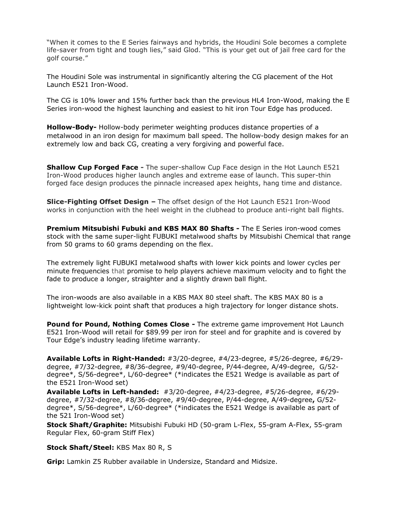"When it comes to the E Series fairways and hybrids, the Houdini Sole becomes a complete life-saver from tight and tough lies," said Glod. "This is your get out of jail free card for the golf course."

The Houdini Sole was instrumental in significantly altering the CG placement of the Hot Launch E521 Iron-Wood.

The CG is 10% lower and 15% further back than the previous HL4 Iron-Wood, making the E Series iron-wood the highest launching and easiest to hit iron Tour Edge has produced.

**Hollow-Body-** Hollow-body perimeter weighting produces distance properties of a metalwood in an iron design for maximum ball speed. The hollow-body design makes for an extremely low and back CG, creating a very forgiving and powerful face.

**Shallow Cup Forged Face -** The super-shallow Cup Face design in the Hot Launch E521 Iron-Wood produces higher launch angles and extreme ease of launch. This super-thin forged face design produces the pinnacle increased apex heights, hang time and distance.

**Slice-Fighting Offset Design –** The offset design of the Hot Launch E521 Iron-Wood works in conjunction with the heel weight in the clubhead to produce anti-right ball flights.

**Premium Mitsubishi Fubuki and KBS MAX 80 Shafts -** The E Series iron-wood comes stock with the same super-light FUBUKI metalwood shafts by Mitsubishi Chemical that range from 50 grams to 60 grams depending on the flex.

The extremely light FUBUKI metalwood shafts with lower kick points and lower cycles per minute frequencies that promise to help players achieve maximum velocity and to fight the fade to produce a longer, straighter and a slightly drawn ball flight.

The iron-woods are also available in a KBS MAX 80 steel shaft. The KBS MAX 80 is a lightweight low-kick point shaft that produces a high trajectory for longer distance shots.

**Pound for Pound, Nothing Comes Close -** The extreme game improvement Hot Launch E521 Iron-Wood will retail for \$89.99 per iron for steel and for graphite and is covered by Tour Edge's industry leading lifetime warranty.

**Available Lofts in Right-Handed:** #3/20-degree, #4/23-degree, #5/26-degree, #6/29 degree, #7/32-degree, #8/36-degree, #9/40-degree, P/44-degree, A/49-degree, G/52 degree\*, S/56-degree\*, L/60-degree\* (\*indicates the E521 Wedge is available as part of the E521 Iron-Wood set)

**Available Lofts in Left-handed:** #3/20-degree, #4/23-degree, #5/26-degree, #6/29 degree, #7/32-degree, #8/36-degree, #9/40-degree, P/44-degree, A/49-degree**,** G/52 degree\*, S/56-degree\*, L/60-degree\* (\*indicates the E521 Wedge is available as part of the 521 Iron-Wood set)

**Stock Shaft/Graphite:** Mitsubishi Fubuki HD (50-gram L-Flex, 55-gram A-Flex, 55-gram Regular Flex, 60-gram Stiff Flex)

**Stock Shaft/Steel:** KBS Max 80 R, S

**Grip:** Lamkin Z5 Rubber available in Undersize, Standard and Midsize.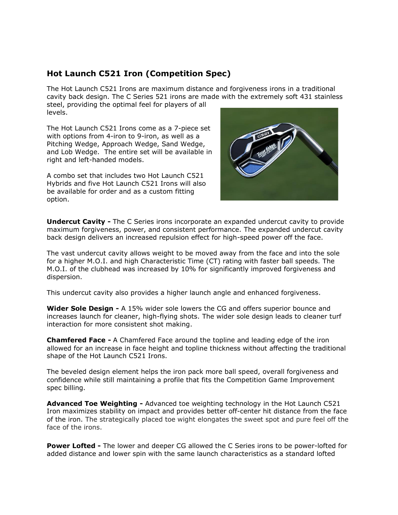## **Hot Launch C521 Iron (Competition Spec)**

The Hot Launch C521 Irons are maximum distance and forgiveness irons in a traditional cavity back design. The C Series 521 irons are made with the extremely soft 431 stainless steel, providing the optimal feel for players of all levels.

The Hot Launch C521 Irons come as a 7-piece set with options from 4-iron to 9-iron, as well as a Pitching Wedge, Approach Wedge, Sand Wedge, and Lob Wedge. The entire set will be available in right and left-handed models.

A combo set that includes two Hot Launch C521 Hybrids and five Hot Launch C521 Irons will also be available for order and as a custom fitting option.



**Undercut Cavity -** The C Series irons incorporate an expanded undercut cavity to provide maximum forgiveness, power, and consistent performance. The expanded undercut cavity back design delivers an increased repulsion effect for high-speed power off the face.

The vast undercut cavity allows weight to be moved away from the face and into the sole for a higher M.O.I. and high Characteristic Time (CT) rating with faster ball speeds. The M.O.I. of the clubhead was increased by 10% for significantly improved forgiveness and dispersion.

This undercut cavity also provides a higher launch angle and enhanced forgiveness.

**Wider Sole Design -** A 15% wider sole lowers the CG and offers superior bounce and increases launch for cleaner, high-flying shots. The wider sole design leads to cleaner turf interaction for more consistent shot making.

**Chamfered Face -** A Chamfered Face around the topline and leading edge of the iron allowed for an increase in face height and topline thickness without affecting the traditional shape of the Hot Launch C521 Irons.

The beveled design element helps the iron pack more ball speed, overall forgiveness and confidence while still maintaining a profile that fits the Competition Game Improvement spec billing.

**Advanced Toe Weighting -** Advanced toe weighting technology in the Hot Launch C521 Iron maximizes stability on impact and provides better off-center hit distance from the face of the iron. The strategically placed toe wight elongates the sweet spot and pure feel off the face of the irons.

**Power Lofted -** The lower and deeper CG allowed the C Series irons to be power-lofted for added distance and lower spin with the same launch characteristics as a standard lofted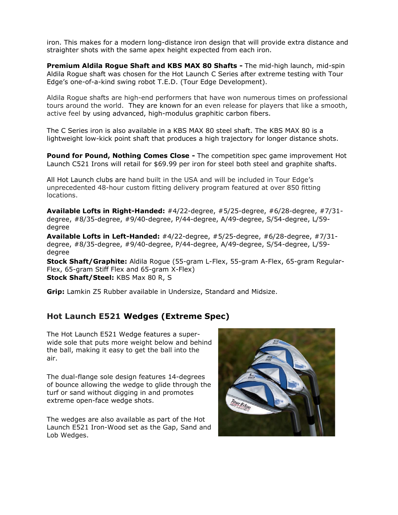iron. This makes for a modern long-distance iron design that will provide extra distance and straighter shots with the same apex height expected from each iron.

**Premium Aldila Rogue Shaft and KBS MAX 80 Shafts -** The mid-high launch, mid-spin Aldila Rogue shaft was chosen for the Hot Launch C Series after extreme testing with Tour Edge's one-of-a-kind swing robot T.E.D. (Tour Edge Development).

Aldila Rogue shafts are high-end performers that have won numerous times on professional tours around the world. They are known for an even release for players that like a smooth, active feel by using advanced, high-modulus graphitic carbon fibers.

The C Series iron is also available in a KBS MAX 80 steel shaft. The KBS MAX 80 is a lightweight low-kick point shaft that produces a high trajectory for longer distance shots.

**Pound for Pound, Nothing Comes Close -** The competition spec game improvement Hot Launch C521 Irons will retail for \$69.99 per iron for steel both steel and graphite shafts.

All Hot Launch clubs are hand built in the USA and will be included in Tour Edge's unprecedented 48-hour custom fitting delivery program featured at over 850 fitting locations.

**Available Lofts in Right-Handed:** #4/22-degree, #5/25-degree, #6/28-degree, #7/31 degree, #8/35-degree, #9/40-degree, P/44-degree, A/49-degree, S/54-degree, L/59 degree

**Available Lofts in Left-Handed:** #4/22-degree, #5/25-degree, #6/28-degree, #7/31 degree, #8/35-degree, #9/40-degree, P/44-degree, A/49-degree, S/54-degree, L/59 degree

**Stock Shaft/Graphite:** Aldila Rogue (55-gram L-Flex, 55-gram A-Flex, 65-gram Regular-Flex, 65-gram Stiff Flex and 65-gram X-Flex) **Stock Shaft/Steel:** KBS Max 80 R, S

**Grip:** Lamkin Z5 Rubber available in Undersize, Standard and Midsize.

#### **Hot Launch E521 Wedges (Extreme Spec)**

The Hot Launch E521 Wedge features a superwide sole that puts more weight below and behind the ball, making it easy to get the ball into the air.

The dual-flange sole design features 14-degrees of bounce allowing the wedge to glide through the turf or sand without digging in and promotes extreme open-face wedge shots.

The wedges are also available as part of the Hot Launch E521 Iron-Wood set as the Gap, Sand and Lob Wedges.